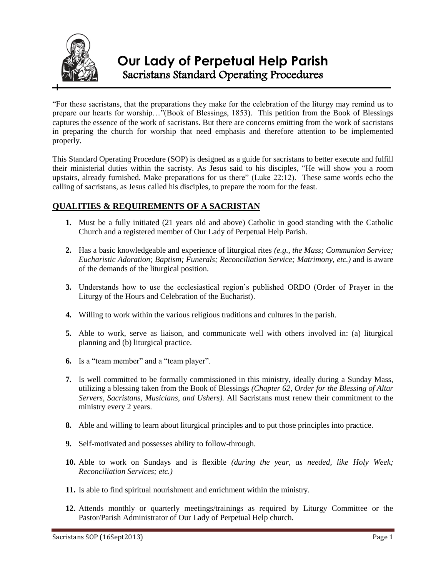

"For these sacristans, that the preparations they make for the celebration of the liturgy may remind us to prepare our hearts for worship…"(Book of Blessings, 1853). This petition from the Book of Blessings captures the essence of the work of sacristans. But there are concerns emitting from the work of sacristans in preparing the church for worship that need emphasis and therefore attention to be implemented properly.

This Standard Operating Procedure (SOP) is designed as a guide for sacristans to better execute and fulfill their ministerial duties within the sacristy. As Jesus said to his disciples, "He will show you a room upstairs, already furnished. Make preparations for us there" (Luke 22:12). These same words echo the calling of sacristans, as Jesus called his disciples, to prepare the room for the feast.

# **QUALITIES & REQUIREMENTS OF A SACRISTAN**

- **1.** Must be a fully initiated (21 years old and above) Catholic in good standing with the Catholic Church and a registered member of Our Lady of Perpetual Help Parish.
- **2.** Has a basic knowledgeable and experience of liturgical rites *(e.g., the Mass; Communion Service; Eucharistic Adoration; Baptism; Funerals; Reconciliation Service; Matrimony, etc.)* and is aware of the demands of the liturgical position.
- **3.** Understands how to use the ecclesiastical region's published ORDO (Order of Prayer in the Liturgy of the Hours and Celebration of the Eucharist).
- **4.** Willing to work within the various religious traditions and cultures in the parish.
- **5.** Able to work, serve as liaison, and communicate well with others involved in: (a) liturgical planning and (b) liturgical practice.
- **6.** Is a "team member" and a "team player".
- **7.** Is well committed to be formally commissioned in this ministry, ideally during a Sunday Mass, utilizing a blessing taken from the Book of Blessings *(Chapter 62, Order for the Blessing of Altar Servers, Sacristans, Musicians, and Ushers).* All Sacristans must renew their commitment to the ministry every 2 years.
- **8.** Able and willing to learn about liturgical principles and to put those principles into practice.
- **9.** Self-motivated and possesses ability to follow-through.
- **10.** Able to work on Sundays and is flexible *(during the year, as needed, like Holy Week; Reconciliation Services; etc.)*
- **11.** Is able to find spiritual nourishment and enrichment within the ministry.
- **12.** Attends monthly or quarterly meetings/trainings as required by Liturgy Committee or the Pastor/Parish Administrator of Our Lady of Perpetual Help church.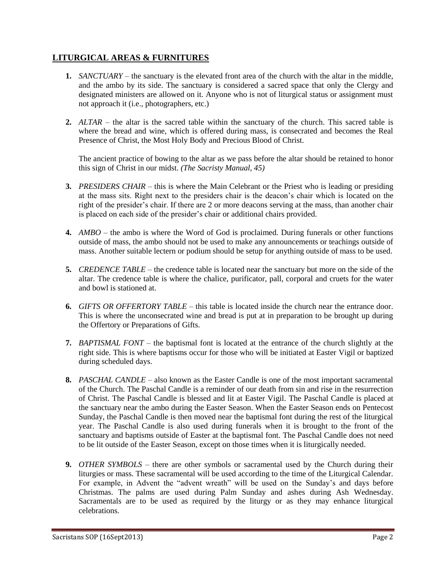# **LITURGICAL AREAS & FURNITURES**

- **1.** *SANCTUARY* the sanctuary is the elevated front area of the church with the altar in the middle, and the ambo by its side. The sanctuary is considered a sacred space that only the Clergy and designated ministers are allowed on it. Anyone who is not of liturgical status or assignment must not approach it (i.e., photographers, etc.)
- **2.** *ALTAR* the altar is the sacred table within the sanctuary of the church. This sacred table is where the bread and wine, which is offered during mass, is consecrated and becomes the Real Presence of Christ, the Most Holy Body and Precious Blood of Christ.

The ancient practice of bowing to the altar as we pass before the altar should be retained to honor this sign of Christ in our midst. *(The Sacristy Manual, 45)*

- **3.** *PRESIDERS CHAIR* this is where the Main Celebrant or the Priest who is leading or presiding at the mass sits. Right next to the presiders chair is the deacon's chair which is located on the right of the presider's chair. If there are 2 or more deacons serving at the mass, than another chair is placed on each side of the presider's chair or additional chairs provided.
- **4.** *AMBO* the ambo is where the Word of God is proclaimed. During funerals or other functions outside of mass, the ambo should not be used to make any announcements or teachings outside of mass. Another suitable lectern or podium should be setup for anything outside of mass to be used.
- **5.** *CREDENCE TABLE* the credence table is located near the sanctuary but more on the side of the altar. The credence table is where the chalice, purificator, pall, corporal and cruets for the water and bowl is stationed at.
- **6.** *GIFTS OR OFFERTORY TABLE* this table is located inside the church near the entrance door. This is where the unconsecrated wine and bread is put at in preparation to be brought up during the Offertory or Preparations of Gifts.
- **7.** *BAPTISMAL FONT* the baptismal font is located at the entrance of the church slightly at the right side. This is where baptisms occur for those who will be initiated at Easter Vigil or baptized during scheduled days.
- **8.** *PASCHAL CANDLE* also known as the Easter Candle is one of the most important sacramental of the Church. The Paschal Candle is a reminder of our death from sin and rise in the resurrection of Christ. The Paschal Candle is blessed and lit at Easter Vigil. The Paschal Candle is placed at the sanctuary near the ambo during the Easter Season. When the Easter Season ends on Pentecost Sunday, the Paschal Candle is then moved near the baptismal font during the rest of the liturgical year. The Paschal Candle is also used during funerals when it is brought to the front of the sanctuary and baptisms outside of Easter at the baptismal font. The Paschal Candle does not need to be lit outside of the Easter Season, except on those times when it is liturgically needed.
- **9.** *OTHER SYMBOLS* there are other symbols or sacramental used by the Church during their liturgies or mass. These sacramental will be used according to the time of the Liturgical Calendar. For example, in Advent the "advent wreath" will be used on the Sunday's and days before Christmas. The palms are used during Palm Sunday and ashes during Ash Wednesday. Sacramentals are to be used as required by the liturgy or as they may enhance liturgical celebrations.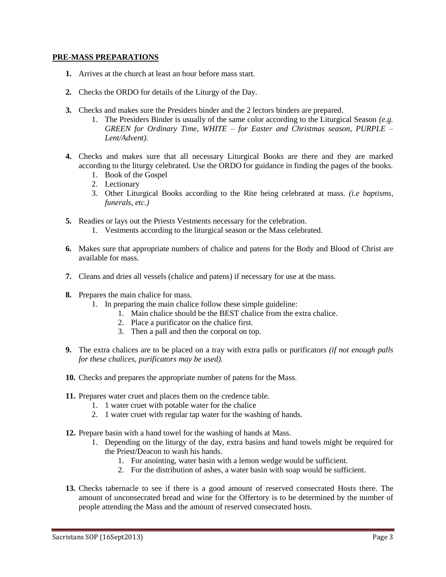### **PRE-MASS PREPARATIONS**

- **1.** Arrives at the church at least an hour before mass start.
- **2.** Checks the ORDO for details of the Liturgy of the Day.
- **3.** Checks and makes sure the Presiders binder and the 2 lectors binders are prepared.
	- 1. The Presiders Binder is usually of the same color according to the Liturgical Season *(e.g. GREEN for Ordinary Time, WHITE – for Easter and Christmas season, PURPLE – Lent/Advent).*
- **4.** Checks and makes sure that all necessary Liturgical Books are there and they are marked according to the liturgy celebrated. Use the ORDO for guidance in finding the pages of the books.
	- 1. Book of the Gospel
	- 2. Lectionary
	- 3. Other Liturgical Books according to the Rite being celebrated at mass. *(i.e baptisms, funerals, etc.)*
- **5.** Readies or lays out the Priests Vestments necessary for the celebration.
	- 1. Vestments according to the liturgical season or the Mass celebrated.
- **6.** Makes sure that appropriate numbers of chalice and patens for the Body and Blood of Christ are available for mass.
- **7.** Cleans and dries all vessels (chalice and patens) if necessary for use at the mass.
- **8.** Prepares the main chalice for mass.
	- 1. In preparing the main chalice follow these simple guideline:
		- 1. Main chalice should be the BEST chalice from the extra chalice.
		- 2. Place a purificator on the chalice first.
		- 3. Then a pall and then the corporal on top.
- **9.** The extra chalices are to be placed on a tray with extra palls or purificators *(if not enough palls for these chalices, purificators may be used).*
- **10.** Checks and prepares the appropriate number of patens for the Mass.
- **11.** Prepares water cruet and places them on the credence table.
	- 1. 1 water cruet with potable water for the chalice
	- 2. 1 water cruet with regular tap water for the washing of hands.
- **12.** Prepare basin with a hand towel for the washing of hands at Mass.
	- 1. Depending on the liturgy of the day, extra basins and hand towels might be required for the Priest/Deacon to wash his hands.
		- 1. For anointing, water basin with a lemon wedge would be sufficient.
		- 2. For the distribution of ashes, a water basin with soap would be sufficient.
- **13.** Checks tabernacle to see if there is a good amount of reserved consecrated Hosts there. The amount of unconsecrated bread and wine for the Offertory is to be determined by the number of people attending the Mass and the amount of reserved consecrated hosts.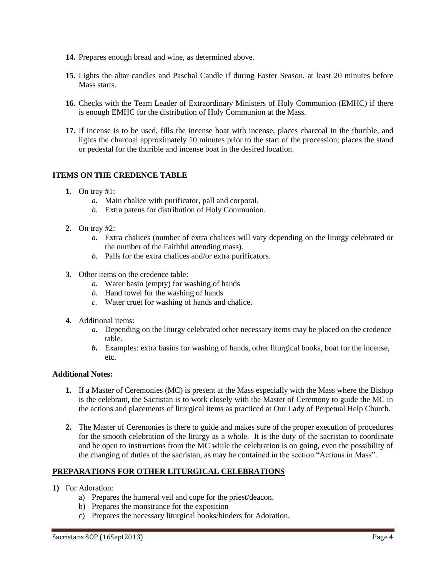- **14.** Prepares enough bread and wine, as determined above.
- **15.** Lights the altar candles and Paschal Candle if during Easter Season, at least 20 minutes before Mass starts.
- **16.** Checks with the Team Leader of Extraordinary Ministers of Holy Communion (EMHC) if there is enough EMHC for the distribution of Holy Communion at the Mass.
- **17.** If incense is to be used, fills the incense boat with incense, places charcoal in the thurible, and lights the charcoal approximately 10 minutes prior to the start of the procession; places the stand or pedestal for the thurible and incense boat in the desired location.

### **ITEMS ON THE CREDENCE TABLE**

- **1.** On tray #1:
	- *a.* Main chalice with purificator, pall and corporal.
	- *b.* Extra patens for distribution of Holy Communion.
- **2.** On tray #2:
	- *a.* Extra chalices (number of extra chalices will vary depending on the liturgy celebrated or the number of the Faithful attending mass).
	- *b.* Palls for the extra chalices and/or extra purificators.
- **3.** Other items on the credence table:
	- *a.* Water basin (empty) for washing of hands
	- *b.* Hand towel for the washing of hands
	- *c.* Water cruet for washing of hands and chalice.
- **4.** Additional items:
	- *a.* Depending on the liturgy celebrated other necessary items may be placed on the credence table.
	- *b.* Examples: extra basins for washing of hands, other liturgical books, boat for the incense, etc.

### **Additional Notes:**

- **1.** If a Master of Ceremonies (MC) is present at the Mass especially with the Mass where the Bishop is the celebrant, the Sacristan is to work closely with the Master of Ceremony to guide the MC in the actions and placements of liturgical items as practiced at Our Lady of Perpetual Help Church.
- **2.** The Master of Ceremonies is there to guide and makes sure of the proper execution of procedures for the smooth celebration of the liturgy as a whole. It is the duty of the sacristan to coordinate and be open to instructions from the MC while the celebration is on going, even the possibility of the changing of duties of the sacristan, as may be contained in the section "Actions in Mass".

### **PREPARATIONS FOR OTHER LITURGICAL CELEBRATIONS**

- **1)** For Adoration:
	- a) Prepares the humeral veil and cope for the priest/deacon.
	- b) Prepares the monstrance for the exposition
	- c) Prepares the necessary liturgical books/binders for Adoration.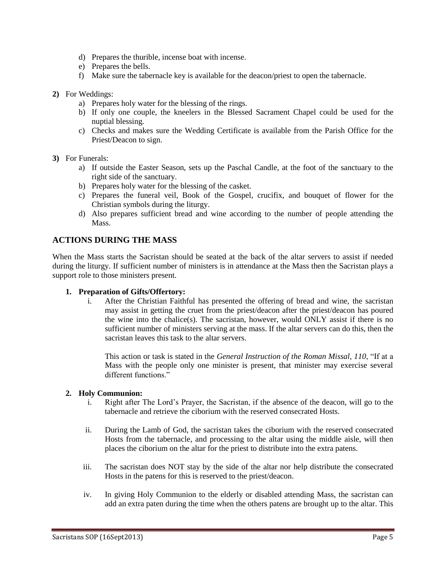- d) Prepares the thurible, incense boat with incense.
- e) Prepares the bells.
- f) Make sure the tabernacle key is available for the deacon/priest to open the tabernacle.
- **2)** For Weddings:
	- a) Prepares holy water for the blessing of the rings.
	- b) If only one couple, the kneelers in the Blessed Sacrament Chapel could be used for the nuptial blessing.
	- c) Checks and makes sure the Wedding Certificate is available from the Parish Office for the Priest/Deacon to sign.
- **3)** For Funerals:
	- a) If outside the Easter Season, sets up the Paschal Candle, at the foot of the sanctuary to the right side of the sanctuary.
	- b) Prepares holy water for the blessing of the casket.
	- c) Prepares the funeral veil, Book of the Gospel, crucifix, and bouquet of flower for the Christian symbols during the liturgy.
	- d) Also prepares sufficient bread and wine according to the number of people attending the Mass.

## **ACTIONS DURING THE MASS**

When the Mass starts the Sacristan should be seated at the back of the altar servers to assist if needed during the liturgy. If sufficient number of ministers is in attendance at the Mass then the Sacristan plays a support role to those ministers present.

### **1. Preparation of Gifts/Offertory:**

i. After the Christian Faithful has presented the offering of bread and wine, the sacristan may assist in getting the cruet from the priest/deacon after the priest/deacon has poured the wine into the chalice(s). The sacristan, however, would ONLY assist if there is no sufficient number of ministers serving at the mass. If the altar servers can do this, then the sacristan leaves this task to the altar servers.

This action or task is stated in the *General Instruction of the Roman Missal, 110*, "If at a Mass with the people only one minister is present, that minister may exercise several different functions."

### **2. Holy Communion:**

- i. Right after The Lord's Prayer, the Sacristan, if the absence of the deacon, will go to the tabernacle and retrieve the ciborium with the reserved consecrated Hosts.
- ii. During the Lamb of God, the sacristan takes the ciborium with the reserved consecrated Hosts from the tabernacle, and processing to the altar using the middle aisle, will then places the ciborium on the altar for the priest to distribute into the extra patens.
- iii. The sacristan does NOT stay by the side of the altar nor help distribute the consecrated Hosts in the patens for this is reserved to the priest/deacon.
- iv. In giving Holy Communion to the elderly or disabled attending Mass, the sacristan can add an extra paten during the time when the others patens are brought up to the altar. This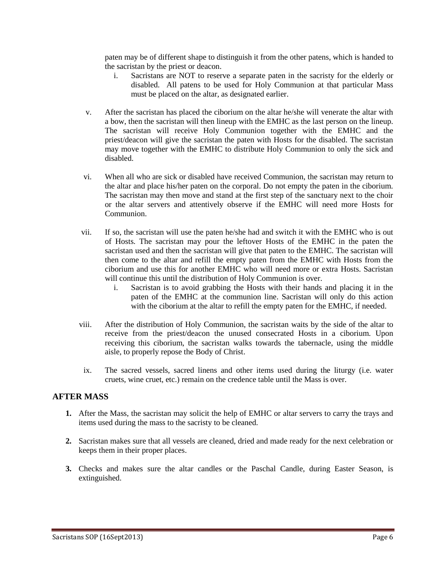paten may be of different shape to distinguish it from the other patens, which is handed to the sacristan by the priest or deacon.

- i. Sacristans are NOT to reserve a separate paten in the sacristy for the elderly or disabled. All patens to be used for Holy Communion at that particular Mass must be placed on the altar, as designated earlier.
- v. After the sacristan has placed the ciborium on the altar he/she will venerate the altar with a bow, then the sacristan will then lineup with the EMHC as the last person on the lineup. The sacristan will receive Holy Communion together with the EMHC and the priest/deacon will give the sacristan the paten with Hosts for the disabled. The sacristan may move together with the EMHC to distribute Holy Communion to only the sick and disabled.
- vi. When all who are sick or disabled have received Communion, the sacristan may return to the altar and place his/her paten on the corporal. Do not empty the paten in the ciborium. The sacristan may then move and stand at the first step of the sanctuary next to the choir or the altar servers and attentively observe if the EMHC will need more Hosts for Communion.
- vii. If so, the sacristan will use the paten he/she had and switch it with the EMHC who is out of Hosts. The sacristan may pour the leftover Hosts of the EMHC in the paten the sacristan used and then the sacristan will give that paten to the EMHC. The sacristan will then come to the altar and refill the empty paten from the EMHC with Hosts from the ciborium and use this for another EMHC who will need more or extra Hosts. Sacristan will continue this until the distribution of Holy Communion is over.
	- i. Sacristan is to avoid grabbing the Hosts with their hands and placing it in the paten of the EMHC at the communion line. Sacristan will only do this action with the ciborium at the altar to refill the empty paten for the EMHC, if needed.
- viii. After the distribution of Holy Communion, the sacristan waits by the side of the altar to receive from the priest/deacon the unused consecrated Hosts in a ciborium. Upon receiving this ciborium, the sacristan walks towards the tabernacle, using the middle aisle, to properly repose the Body of Christ.
- ix. The sacred vessels, sacred linens and other items used during the liturgy (i.e. water cruets, wine cruet, etc.) remain on the credence table until the Mass is over.

## **AFTER MASS**

- **1.** After the Mass, the sacristan may solicit the help of EMHC or altar servers to carry the trays and items used during the mass to the sacristy to be cleaned.
- **2.** Sacristan makes sure that all vessels are cleaned, dried and made ready for the next celebration or keeps them in their proper places.
- **3.** Checks and makes sure the altar candles or the Paschal Candle, during Easter Season, is extinguished.